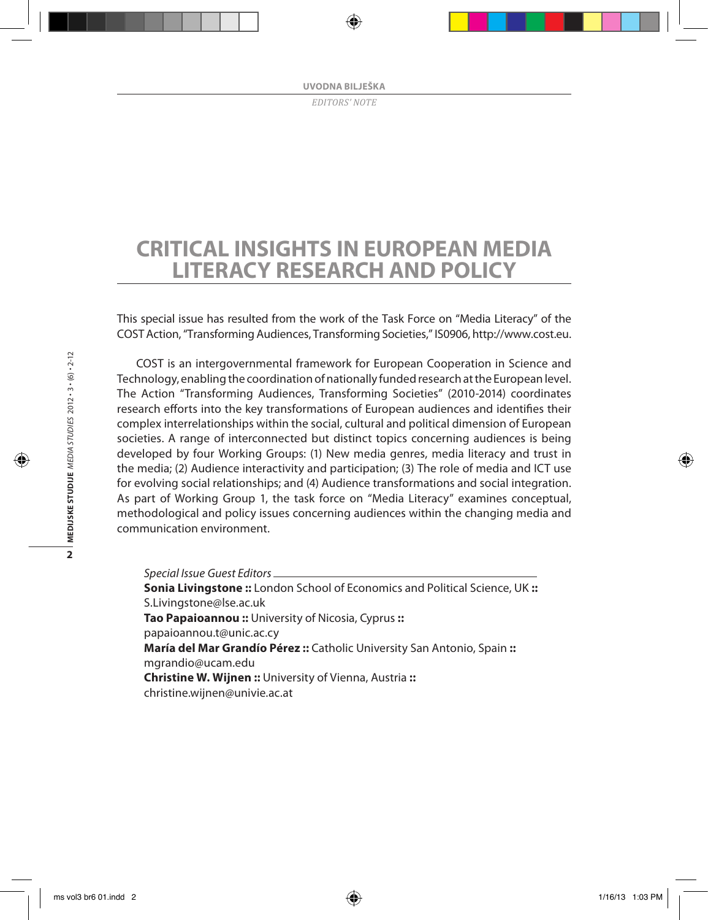# **Critical insights in European media literacy research and policy**

This special issue has resulted from the work of the Task Force on "Media Literacy" of the COST Action, "Transforming Audiences, Transforming Societies," IS0906, http://www.cost.eu.

COST is an intergovernmental framework for European Cooperation in Science and Technology, enabling the coordination of nationally funded research at the European level. The Action "Transforming Audiences, Transforming Societies" (2010-2014) coordinates research efforts into the key transformations of European audiences and identifies their complex interrelationships within the social, cultural and political dimension of European societies. A range of interconnected but distinct topics concerning audiences is being developed by four Working Groups: (1) New media genres, media literacy and trust in the media; (2) Audience interactivity and participation; (3) The role of media and ICT use for evolving social relationships; and (4) Audience transformations and social integration. As part of Working Group 1, the task force on "Media Literacy" examines conceptual, methodological and policy issues concerning audiences within the changing media and communication environment.

*Special Issue Guest Editors* **Sonia Livingstone ::** London School of Economics and Political Science, UK **::** S.Livingstone@lse.ac.uk **Tao Papaioannou ::** University of Nicosia, Cyprus **::** papaioannou.t@unic.ac.cy **María del Mar Grandío Pérez ::** Catholic University San Antonio, Spain **::** mgrandio@ucam.edu **Christine W. Wijnen ::** University of Vienna, Austria **::** christine.wijnen@univie.ac.at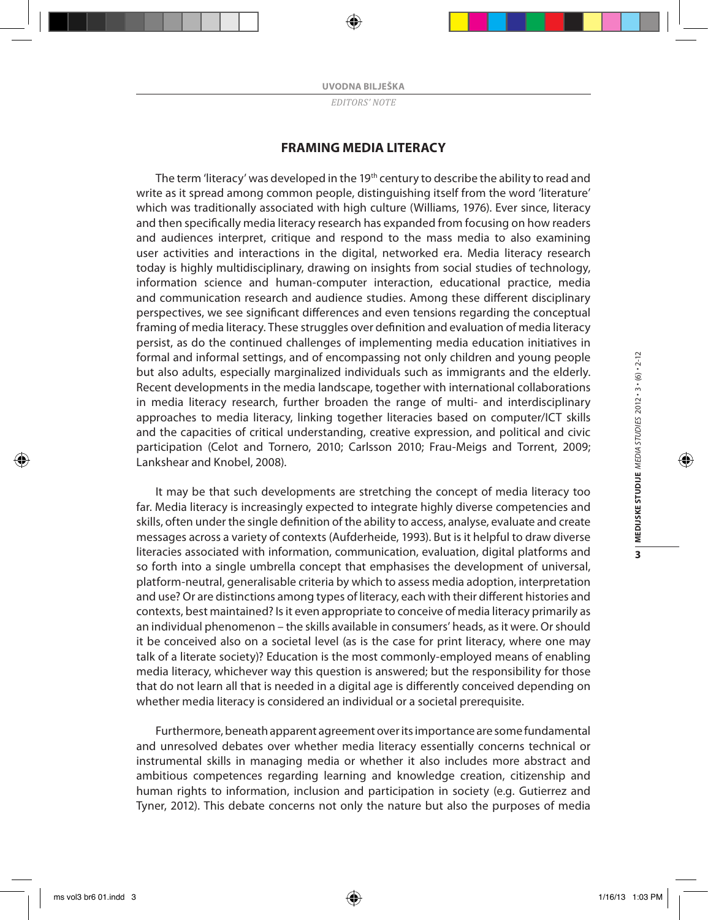## **Framing media literacy**

The term 'literacy' was developed in the 19<sup>th</sup> century to describe the ability to read and write as it spread among common people, distinguishing itself from the word 'literature' which was traditionally associated with high culture (Williams, 1976). Ever since, literacy and then specifically media literacy research has expanded from focusing on how readers and audiences interpret, critique and respond to the mass media to also examining user activities and interactions in the digital, networked era. Media literacy research today is highly multidisciplinary, drawing on insights from social studies of technology, information science and human-computer interaction, educational practice, media and communication research and audience studies. Among these different disciplinary perspectives, we see significant differences and even tensions regarding the conceptual framing of media literacy. These struggles over definition and evaluation of media literacy persist, as do the continued challenges of implementing media education initiatives in formal and informal settings, and of encompassing not only children and young people but also adults, especially marginalized individuals such as immigrants and the elderly. Recent developments in the media landscape, together with international collaborations in media literacy research, further broaden the range of multi- and interdisciplinary approaches to media literacy, linking together literacies based on computer/ICT skills and the capacities of critical understanding, creative expression, and political and civic participation (Celot and Tornero, 2010; Carlsson 2010; Frau-Meigs and Torrent, 2009; Lankshear and Knobel, 2008).

It may be that such developments are stretching the concept of media literacy too far. Media literacy is increasingly expected to integrate highly diverse competencies and skills, often under the single definition of the ability to access, analyse, evaluate and create messages across a variety of contexts (Aufderheide, 1993). But is it helpful to draw diverse literacies associated with information, communication, evaluation, digital platforms and so forth into a single umbrella concept that emphasises the development of universal, platform-neutral, generalisable criteria by which to assess media adoption, interpretation and use? Or are distinctions among types of literacy, each with their different histories and contexts, best maintained? Is it even appropriate to conceive of media literacy primarily as an individual phenomenon – the skills available in consumers' heads, as it were. Or should it be conceived also on a societal level (as is the case for print literacy, where one may talk of a literate society)? Education is the most commonly-employed means of enabling media literacy, whichever way this question is answered; but the responsibility for those that do not learn all that is needed in a digital age is differently conceived depending on whether media literacy is considered an individual or a societal prerequisite.

Furthermore, beneath apparent agreement over its importance are some fundamental and unresolved debates over whether media literacy essentially concerns technical or instrumental skills in managing media or whether it also includes more abstract and ambitious competences regarding learning and knowledge creation, citizenship and human rights to information, inclusion and participation in society (e.g. Gutierrez and Tyner, 2012). This debate concerns not only the nature but also the purposes of media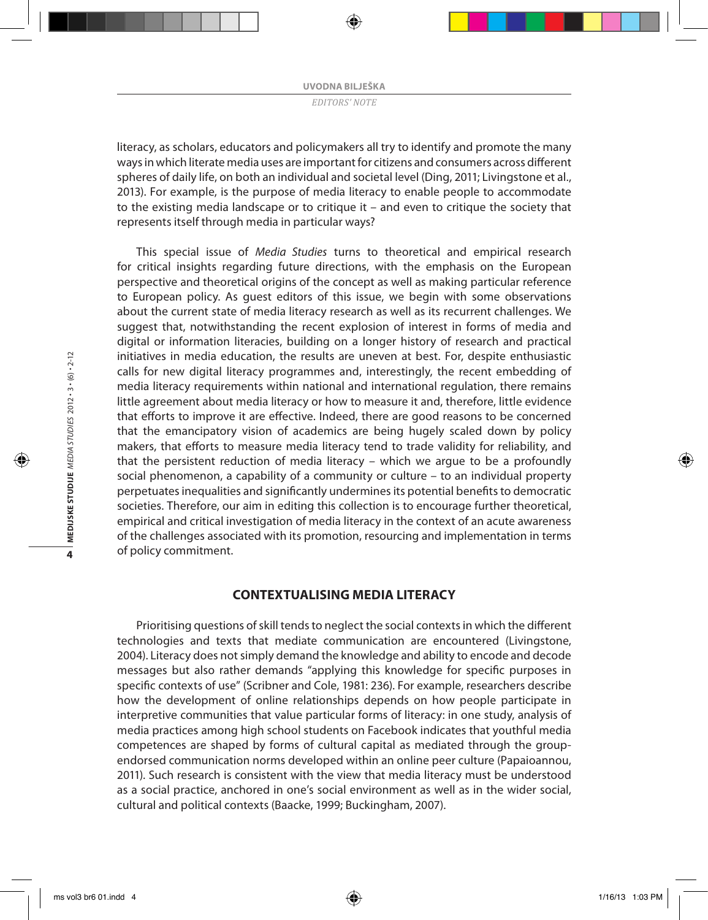literacy, as scholars, educators and policymakers all try to identify and promote the many ways in which literate media uses are important for citizens and consumers across different spheres of daily life, on both an individual and societal level (Ding, 2011; Livingstone et al., 2013). For example, is the purpose of media literacy to enable people to accommodate to the existing media landscape or to critique it – and even to critique the society that represents itself through media in particular ways?

This special issue of *Media Studies* turns to theoretical and empirical research for critical insights regarding future directions, with the emphasis on the European perspective and theoretical origins of the concept as well as making particular reference to European policy. As guest editors of this issue, we begin with some observations about the current state of media literacy research as well as its recurrent challenges. We suggest that, notwithstanding the recent explosion of interest in forms of media and digital or information literacies, building on a longer history of research and practical initiatives in media education, the results are uneven at best. For, despite enthusiastic calls for new digital literacy programmes and, interestingly, the recent embedding of media literacy requirements within national and international regulation, there remains little agreement about media literacy or how to measure it and, therefore, little evidence that efforts to improve it are effective. Indeed, there are good reasons to be concerned that the emancipatory vision of academics are being hugely scaled down by policy makers, that efforts to measure media literacy tend to trade validity for reliability, and that the persistent reduction of media literacy – which we argue to be a profoundly social phenomenon, a capability of a community or culture – to an individual property perpetuates inequalities and significantly undermines its potential benefits to democratic societies. Therefore, our aim in editing this collection is to encourage further theoretical, empirical and critical investigation of media literacy in the context of an acute awareness of the challenges associated with its promotion, resourcing and implementation in terms of policy commitment.

## **Contextualising media literacy**

Prioritising questions of skill tends to neglect the social contexts in which the different technologies and texts that mediate communication are encountered (Livingstone, 2004). Literacy does not simply demand the knowledge and ability to encode and decode messages but also rather demands "applying this knowledge for specific purposes in specific contexts of use" (Scribner and Cole, 1981: 236). For example, researchers describe how the development of online relationships depends on how people participate in interpretive communities that value particular forms of literacy: in one study, analysis of media practices among high school students on Facebook indicates that youthful media competences are shaped by forms of cultural capital as mediated through the groupendorsed communication norms developed within an online peer culture (Papaioannou, 2011). Such research is consistent with the view that media literacy must be understood as a social practice, anchored in one's social environment as well as in the wider social, cultural and political contexts (Baacke, 1999; Buckingham, 2007).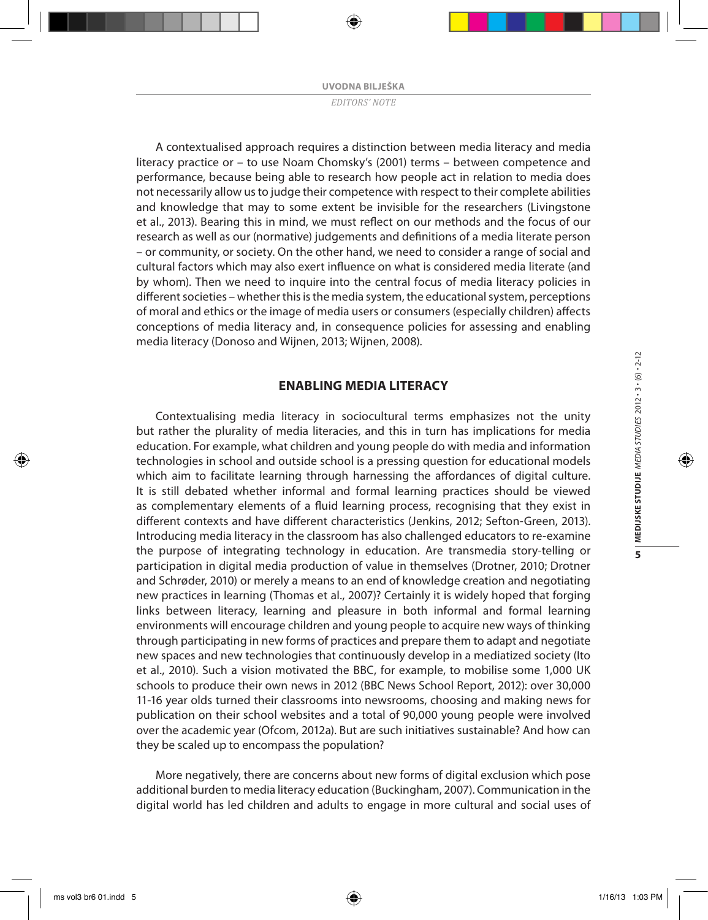A contextualised approach requires a distinction between media literacy and media literacy practice or – to use Noam Chomsky's (2001) terms – between competence and performance, because being able to research how people act in relation to media does not necessarily allow us to judge their competence with respect to their complete abilities and knowledge that may to some extent be invisible for the researchers (Livingstone et al., 2013). Bearing this in mind, we must reflect on our methods and the focus of our research as well as our (normative) judgements and definitions of a media literate person – or community, or society. On the other hand, we need to consider a range of social and cultural factors which may also exert influence on what is considered media literate (and by whom). Then we need to inquire into the central focus of media literacy policies in different societies – whether this is the media system, the educational system, perceptions of moral and ethics or the image of media users or consumers (especially children) affects conceptions of media literacy and, in consequence policies for assessing and enabling media literacy (Donoso and Wijnen, 2013; Wijnen, 2008).

## **Enabling media literacy**

Contextualising media literacy in sociocultural terms emphasizes not the unity but rather the plurality of media literacies, and this in turn has implications for media education. For example, what children and young people do with media and information technologies in school and outside school is a pressing question for educational models which aim to facilitate learning through harnessing the affordances of digital culture. It is still debated whether informal and formal learning practices should be viewed as complementary elements of a fluid learning process, recognising that they exist in different contexts and have different characteristics (Jenkins, 2012; Sefton-Green, 2013). Introducing media literacy in the classroom has also challenged educators to re-examine the purpose of integrating technology in education. Are transmedia story-telling or participation in digital media production of value in themselves (Drotner, 2010; Drotner and Schrøder, 2010) or merely a means to an end of knowledge creation and negotiating new practices in learning (Thomas et al., 2007)? Certainly it is widely hoped that forging links between literacy, learning and pleasure in both informal and formal learning environments will encourage children and young people to acquire new ways of thinking through participating in new forms of practices and prepare them to adapt and negotiate new spaces and new technologies that continuously develop in a mediatized society (Ito et al., 2010). Such a vision motivated the BBC, for example, to mobilise some 1,000 UK schools to produce their own news in 2012 (BBC News School Report, 2012): over 30,000 11-16 year olds turned their classrooms into newsrooms, choosing and making news for publication on their school websites and a total of 90,000 young people were involved over the academic year (Ofcom, 2012a). But are such initiatives sustainable? And how can they be scaled up to encompass the population?

More negatively, there are concerns about new forms of digital exclusion which pose additional burden to media literacy education (Buckingham, 2007). Communication in the digital world has led children and adults to engage in more cultural and social uses of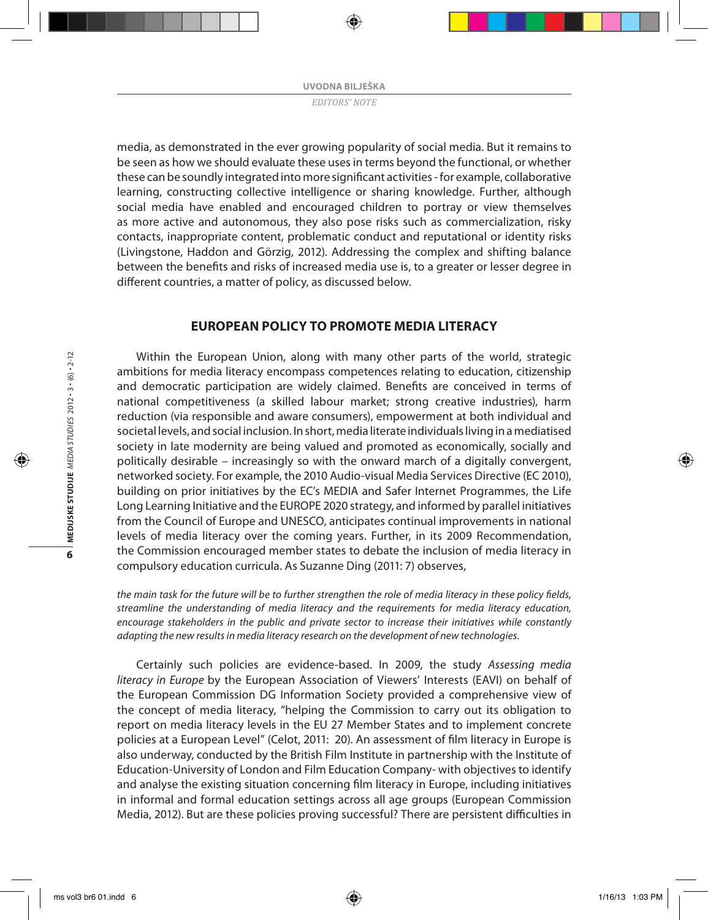media, as demonstrated in the ever growing popularity of social media. But it remains to be seen as how we should evaluate these uses in terms beyond the functional, or whether these can be soundly integrated into more significant activities - for example, collaborative learning, constructing collective intelligence or sharing knowledge. Further, although social media have enabled and encouraged children to portray or view themselves as more active and autonomous, they also pose risks such as commercialization, risky contacts, inappropriate content, problematic conduct and reputational or identity risks (Livingstone, Haddon and Görzig, 2012). Addressing the complex and shifting balance between the benefits and risks of increased media use is, to a greater or lesser degree in different countries, a matter of policy, as discussed below.

## **European policy to promote media literacy**

Within the European Union, along with many other parts of the world, strategic ambitions for media literacy encompass competences relating to education, citizenship and democratic participation are widely claimed. Benefits are conceived in terms of national competitiveness (a skilled labour market; strong creative industries), harm reduction (via responsible and aware consumers), empowerment at both individual and societal levels, and social inclusion. In short, media literate individuals living in a mediatised society in late modernity are being valued and promoted as economically, socially and politically desirable – increasingly so with the onward march of a digitally convergent, networked society. For example, the 2010 Audio-visual Media Services Directive (EC 2010), building on prior initiatives by the EC's MEDIA and Safer Internet Programmes, the Life Long Learning Initiative and the EUROPE 2020 strategy, and informed by parallel initiatives from the Council of Europe and UNESCO, anticipates continual improvements in national levels of media literacy over the coming years. Further, in its 2009 Recommendation, the Commission encouraged member states to debate the inclusion of media literacy in compulsory education curricula. As Suzanne Ding (2011: 7) observes,

*the main task for the future will be to further strengthen the role of media literacy in these policy fields, streamline the understanding of media literacy and the requirements for media literacy education, encourage stakeholders in the public and private sector to increase their initiatives while constantly adapting the new results in media literacy research on the development of new technologies.*

Certainly such policies are evidence-based. In 2009, the study *Assessing media literacy in Europe* by the European Association of Viewers' Interests (EAVI) on behalf of the European Commission DG Information Society provided a comprehensive view of the concept of media literacy, "helping the Commission to carry out its obligation to report on media literacy levels in the EU 27 Member States and to implement concrete policies at a European Level" (Celot, 2011: 20). An assessment of film literacy in Europe is also underway, conducted by the British Film Institute in partnership with the Institute of Education-University of London and Film Education Company- with objectives to identify and analyse the existing situation concerning film literacy in Europe, including initiatives in informal and formal education settings across all age groups (European Commission Media, 2012). But are these policies proving successful? There are persistent difficulties in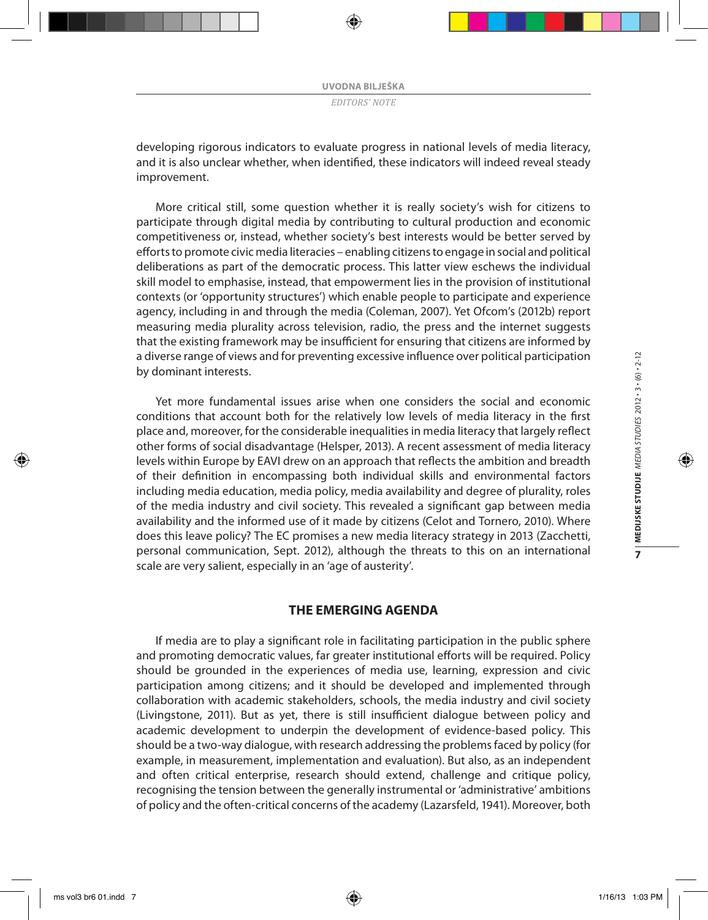developing rigorous indicators to evaluate progress in national levels of media literacy, and it is also unclear whether, when identified, these indicators will indeed reveal steady improvement.

More critical still, some question whether it is really society's wish for citizens to participate through digital media by contributing to cultural production and economic competitiveness or, instead, whether society's best interests would be better served by efforts to promote civic media literacies – enabling citizens to engage in social and political deliberations as part of the democratic process. This latter view eschews the individual skill model to emphasise, instead, that empowerment lies in the provision of institutional contexts (or 'opportunity structures') which enable people to participate and experience agency, including in and through the media (Coleman, 2007). Yet Ofcom's (2012b) report measuring media plurality across television, radio, the press and the internet suggests that the existing framework may be insufficient for ensuring that citizens are informed by a diverse range of views and for preventing excessive influence over political participation by dominant interests.

Yet more fundamental issues arise when one considers the social and economic conditions that account both for the relatively low levels of media literacy in the first place and, moreover, for the considerable inequalities in media literacy that largely reflect other forms of social disadvantage (Helsper, 2013). A recent assessment of media literacy levels within Europe by EAVI drew on an approach that reflects the ambition and breadth of their definition in encompassing both individual skills and environmental factors including media education, media policy, media availability and degree of plurality, roles of the media industry and civil society. This revealed a significant gap between media availability and the informed use of it made by citizens (Celot and Tornero, 2010). Where does this leave policy? The EC promises a new media literacy strategy in 2013 (Zacchetti, personal communication, Sept. 2012), although the threats to this on an international scale are very salient, especially in an 'age of austerity'.

# **The emerging agenda**

If media are to play a significant role in facilitating participation in the public sphere and promoting democratic values, far greater institutional efforts will be required. Policy should be grounded in the experiences of media use, learning, expression and civic participation among citizens; and it should be developed and implemented through collaboration with academic stakeholders, schools, the media industry and civil society (Livingstone, 2011). But as yet, there is still insufficient dialogue between policy and academic development to underpin the development of evidence-based policy. This should be a two-way dialogue, with research addressing the problems faced by policy (for example, in measurement, implementation and evaluation). But also, as an independent and often critical enterprise, research should extend, challenge and critique policy, recognising the tension between the generally instrumental or 'administrative' ambitions of policy and the often-critical concerns of the academy (Lazarsfeld, 1941). Moreover, both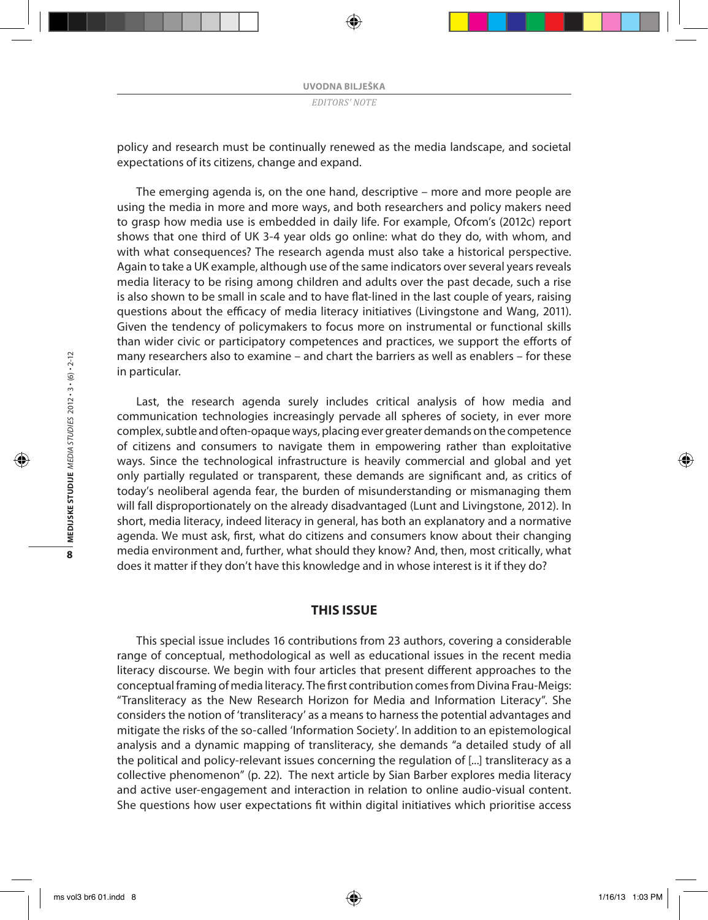policy and research must be continually renewed as the media landscape, and societal expectations of its citizens, change and expand.

The emerging agenda is, on the one hand, descriptive – more and more people are using the media in more and more ways, and both researchers and policy makers need to grasp how media use is embedded in daily life. For example, Ofcom's (2012c) report shows that one third of UK 3-4 year olds go online: what do they do, with whom, and with what consequences? The research agenda must also take a historical perspective. Again to take a UK example, although use of the same indicators over several years reveals media literacy to be rising among children and adults over the past decade, such a rise is also shown to be small in scale and to have flat-lined in the last couple of years, raising questions about the efficacy of media literacy initiatives (Livingstone and Wang, 2011). Given the tendency of policymakers to focus more on instrumental or functional skills than wider civic or participatory competences and practices, we support the efforts of many researchers also to examine – and chart the barriers as well as enablers – for these in particular.

Last, the research agenda surely includes critical analysis of how media and communication technologies increasingly pervade all spheres of society, in ever more complex, subtle and often-opaque ways, placing ever greater demands on the competence of citizens and consumers to navigate them in empowering rather than exploitative ways. Since the technological infrastructure is heavily commercial and global and yet only partially regulated or transparent, these demands are significant and, as critics of today's neoliberal agenda fear, the burden of misunderstanding or mismanaging them will fall disproportionately on the already disadvantaged (Lunt and Livingstone, 2012). In short, media literacy, indeed literacy in general, has both an explanatory and a normative agenda. We must ask, first, what do citizens and consumers know about their changing media environment and, further, what should they know? And, then, most critically, what does it matter if they don't have this knowledge and in whose interest is it if they do?

## **This issue**

This special issue includes 16 contributions from 23 authors, covering a considerable range of conceptual, methodological as well as educational issues in the recent media literacy discourse. We begin with four articles that present different approaches to the conceptual framing of media literacy. The first contribution comes from Divina Frau-Meigs: "Transliteracy as the New Research Horizon for Media and Information Literacy". She considers the notion of 'transliteracy' as a means to harness the potential advantages and mitigate the risks of the so-called 'Information Society'. In addition to an epistemological analysis and a dynamic mapping of transliteracy, she demands "a detailed study of all the political and policy-relevant issues concerning the regulation of [...] transliteracy as a collective phenomenon" (p. 22). The next article by Sian Barber explores media literacy and active user-engagement and interaction in relation to online audio-visual content. She questions how user expectations fit within digital initiatives which prioritise access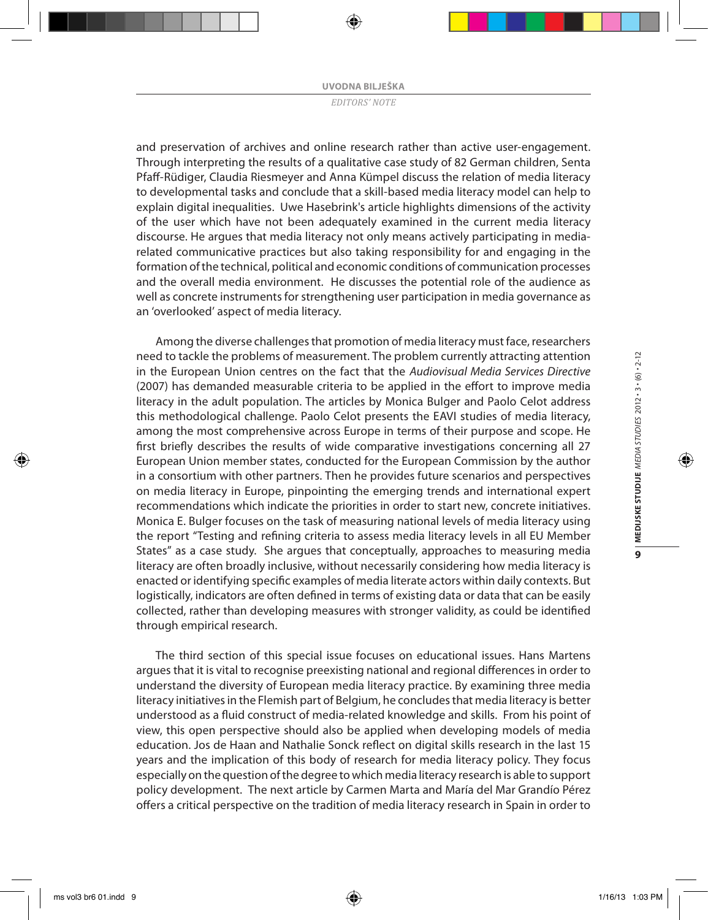and preservation of archives and online research rather than active user-engagement. Through interpreting the results of a qualitative case study of 82 German children, Senta Pfaff-Rüdiger, Claudia Riesmeyer and Anna Kümpel discuss the relation of media literacy to developmental tasks and conclude that a skill-based media literacy model can help to explain digital inequalities. Uwe Hasebrink's article highlights dimensions of the activity of the user which have not been adequately examined in the current media literacy discourse. He argues that media literacy not only means actively participating in mediarelated communicative practices but also taking responsibility for and engaging in the formation of the technical, political and economic conditions of communication processes and the overall media environment. He discusses the potential role of the audience as well as concrete instruments for strengthening user participation in media governance as an 'overlooked' aspect of media literacy.

Among the diverse challenges that promotion of media literacy must face, researchers need to tackle the problems of measurement. The problem currently attracting attention in the European Union centres on the fact that the *Audiovisual Media Services Directive* (2007) has demanded measurable criteria to be applied in the effort to improve media literacy in the adult population. The articles by Monica Bulger and Paolo Celot address this methodological challenge. Paolo Celot presents the EAVI studies of media literacy, among the most comprehensive across Europe in terms of their purpose and scope. He first briefly describes the results of wide comparative investigations concerning all 27 European Union member states, conducted for the European Commission by the author in a consortium with other partners. Then he provides future scenarios and perspectives on media literacy in Europe, pinpointing the emerging trends and international expert recommendations which indicate the priorities in order to start new, concrete initiatives. Monica E. Bulger focuses on the task of measuring national levels of media literacy using the report "Testing and refining criteria to assess media literacy levels in all EU Member States" as a case study. She argues that conceptually, approaches to measuring media literacy are often broadly inclusive, without necessarily considering how media literacy is enacted or identifying specific examples of media literate actors within daily contexts. But logistically, indicators are often defined in terms of existing data or data that can be easily collected, rather than developing measures with stronger validity, as could be identified through empirical research.

The third section of this special issue focuses on educational issues. Hans Martens argues that it is vital to recognise preexisting national and regional differences in order to understand the diversity of European media literacy practice. By examining three media literacy initiatives in the Flemish part of Belgium, he concludes that media literacy is better understood as a fluid construct of media-related knowledge and skills. From his point of view, this open perspective should also be applied when developing models of media education. Jos de Haan and Nathalie Sonck reflect on digital skills research in the last 15 years and the implication of this body of research for media literacy policy. They focus especially on the question of the degree to which media literacy research is able to support policy development. The next article by Carmen Marta and María del Mar Grandío Pérez offers a critical perspective on the tradition of media literacy research in Spain in order to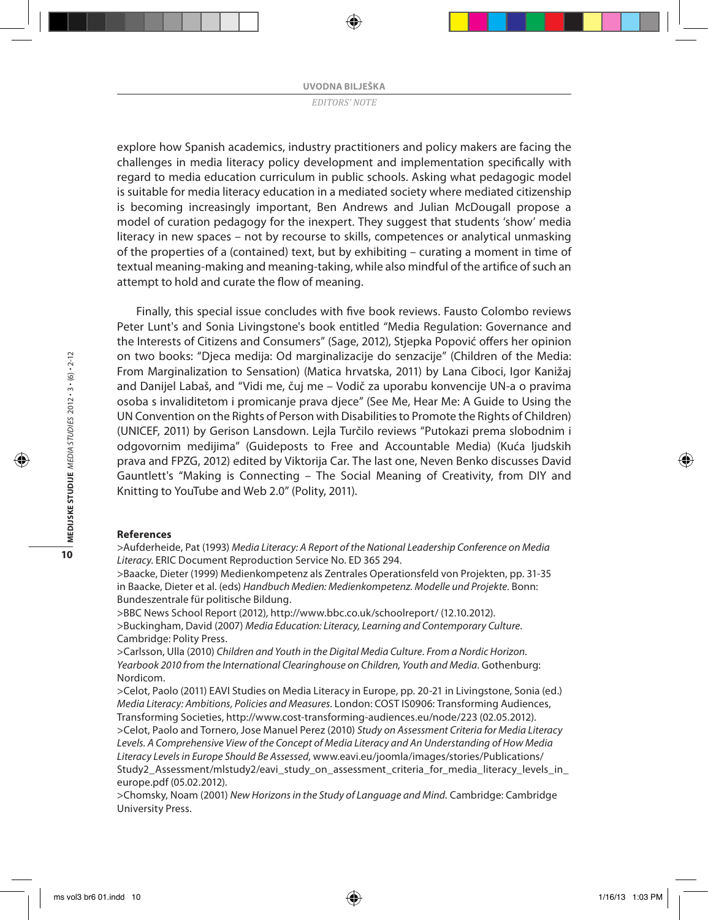explore how Spanish academics, industry practitioners and policy makers are facing the challenges in media literacy policy development and implementation specifically with regard to media education curriculum in public schools. Asking what pedagogic model is suitable for media literacy education in a mediated society where mediated citizenship is becoming increasingly important, Ben Andrews and Julian McDougall propose a model of curation pedagogy for the inexpert. They suggest that students 'show' media literacy in new spaces – not by recourse to skills, competences or analytical unmasking of the properties of a (contained) text, but by exhibiting – curating a moment in time of textual meaning-making and meaning-taking, while also mindful of the artifice of such an attempt to hold and curate the flow of meaning.

Finally, this special issue concludes with five book reviews. Fausto Colombo reviews Peter Lunt's and Sonia Livingstone's book entitled "Media Regulation: Governance and the Interests of Citizens and Consumers" (Sage, 2012), Stjepka Popović offers her opinion on two books: "Djeca medija: Od marginalizacije do senzacije" (Children of the Media: From Marginalization to Sensation) (Matica hrvatska, 2011) by Lana Ciboci, Igor Kanižaj and Danijel Labaš, and "Vidi me, čuj me – Vodič za uporabu konvencije UN-a o pravima osoba s invaliditetom i promicanje prava djece" (See Me, Hear Me: A Guide to Using the UN Convention on the Rights of Person with Disabilities to Promote the Rights of Children) (UNICEF, 2011) by Gerison Lansdown. Lejla Turčilo reviews "Putokazi prema slobodnim i odgovornim medijima" (Guideposts to Free and Accountable Media) (Kuća ljudskih prava and FPZG, 2012) edited by Viktorija Car. The last one, Neven Benko discusses David Gauntlett's "Making is Connecting – The Social Meaning of Creativity, from DIY and Knitting to YouTube and Web 2.0" (Polity, 2011).

#### **References**

>Aufderheide, Pat (1993) *Media Literacy: A Report of the National Leadership Conference on Media Literacy*. ERIC Document Reproduction Service No. ED 365 294.

>Baacke, Dieter (1999) Medienkompetenz als Zentrales Operationsfeld von Projekten, pp. 31-35 in Baacke, Dieter et al. (eds) *Handbuch Medien: Medienkompetenz. Modelle und Projekte*. Bonn: Bundeszentrale für politische Bildung.

>BBC News School Report (2012), http://www.bbc.co.uk/schoolreport/ (12.10.2012). >Buckingham, David (2007) *Media Education: Literacy, Learning and Contemporary Culture*. Cambridge: Polity Press.

>Carlsson, Ulla (2010) *Children and Youth in the Digital Media Culture*. *From a Nordic Horizon*. *Yearbook 2010 from the International Clearinghouse on Children, Youth and Media*. Gothenburg: Nordicom.

>Celot, Paolo (2011) EAVI Studies on Media Literacy in Europe, pp. 20-21 in Livingstone, Sonia (ed.) *Media Literacy: Ambitions, Policies and Measures.* London: COST IS0906: Transforming Audiences, Transforming Societies, http://www.cost-transforming-audiences.eu/node/223 (02.05.2012). >Celot, Paolo and Tornero, Jose Manuel Perez (2010) *Study on Assessment Criteria for Media Literacy Levels. A Comprehensive View of the Concept of Media Literacy and An Understanding of How Media Literacy Levels in Europe Should Be Assessed*, www.eavi.eu/joomla/images/stories/Publications/ Study2\_Assessment/mlstudy2/eavi\_study\_on\_assessment\_criteria\_for\_media\_literacy\_levels\_in\_ europe.pdf (05.02.2012).

>Chomsky, Noam (2001) *New Horizons in the Study of Language and Mind.* Cambridge: Cambridge University Press.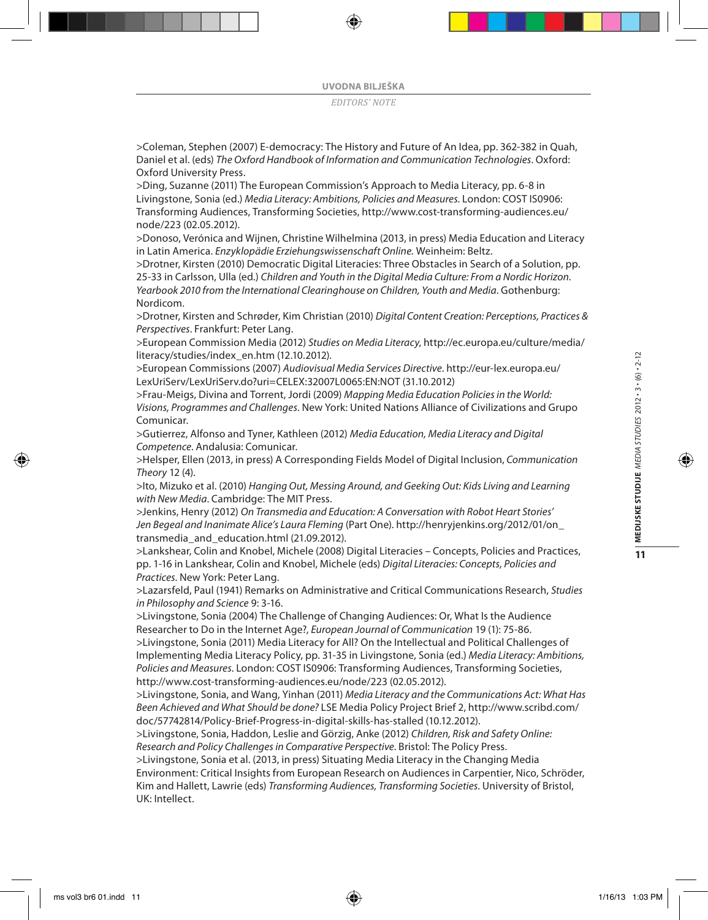>Coleman, Stephen (2007) E-democracy: The History and Future of An Idea, pp. 362-382 in Quah, Daniel et al. (eds) *The Oxford Handbook of Information and Communication Technologies*. Oxford: Oxford University Press.

>Ding, Suzanne (2011) The European Commission's Approach to Media Literacy, pp. 6-8 in Livingstone, Sonia (ed.) *Media Literacy: Ambitions, Policies and Measures.* London: COST IS0906: Transforming Audiences, Transforming Societies, http://www.cost-transforming-audiences.eu/ node/223 (02.05.2012).

>Donoso, Verónica and Wijnen, Christine Wilhelmina (2013, in press) Media Education and Literacy in Latin America. *Enzyklopädie Erziehungswissenschaft Online.* Weinheim: Beltz.

>Drotner, Kirsten (2010) Democratic Digital Literacies: Three Obstacles in Search of a Solution, pp. 25-33 in Carlsson, Ulla (ed.) *Children and Youth in the Digital Media Culture: From a Nordic Horizon. Yearbook 2010 from the International Clearinghouse on Children, Youth and Media*. Gothenburg: Nordicom.

>Drotner, Kirsten and Schrøder, Kim Christian (2010) *Digital Content Creation: Perceptions, Practices & Perspectives*. Frankfurt: Peter Lang.

>European Commission Media (2012) *Studies on Media Literacy*, http://ec.europa.eu/culture/media/ literacy/studies/index\_en.htm (12.10.2012).

>European Commissions (2007) *Audiovisual Media Services Directive*. http://eur-lex.europa.eu/ LexUriServ/LexUriServ.do?uri=CELEX:32007L0065:EN:NOT (31.10.2012)

>Frau-Meigs, Divina and Torrent, Jordi (2009) *Mapping Media Education Policies in the World: Visions, Programmes and Challenges*. New York: United Nations Alliance of Civilizations and Grupo Comunicar.

>Gutierrez, Alfonso and Tyner, Kathleen (2012) *Media Education, Media Literacy and Digital Competence*. Andalusia: Comunicar.

>Helsper, Ellen (2013, in press) A Corresponding Fields Model of Digital Inclusion, *Communication Theory* 12 (4).

>Ito, Mizuko et al. (2010) *Hanging Out, Messing Around, and Geeking Out: Kids Living and Learning with New Media*. Cambridge: The MIT Press.

>Jenkins, Henry (2012) *On Transmedia and Education: A Conversation with Robot Heart Stories' Jen Begeal and Inanimate Alice's Laura Fleming* (Part One). http://henryjenkins.org/2012/01/on\_ transmedia\_and\_education.html (21.09.2012).

>Lankshear, Colin and Knobel, Michele (2008) Digital Literacies – Concepts, Policies and Practices, pp. 1-16 in Lankshear, Colin and Knobel, Michele (eds) *Digital Literacies: Concepts, Policies and Practices.* New York: Peter Lang.

>Lazarsfeld, Paul (1941) Remarks on Administrative and Critical Communications Research, *Studies in Philosophy and Science* 9: 3-16.

>Livingstone, Sonia (2004) The Challenge of Changing Audiences: Or, What Is the Audience Researcher to Do in the Internet Age?, *European Journal of Communication* 19 (1): 75-86.

>Livingstone, Sonia (2011) Media Literacy for All? On the Intellectual and Political Challenges of Implementing Media Literacy Policy, pp. 31-35 in Livingstone, Sonia (ed.) *Media Literacy: Ambitions, Policies and Measures*. London: COST IS0906: Transforming Audiences, Transforming Societies, http://www.cost-transforming-audiences.eu/node/223 (02.05.2012).

>Livingstone, Sonia, and Wang, Yinhan (2011) *Media Literacy and the Communications Act: What Has Been Achieved and What Should be done?* LSE Media Policy Project Brief 2, http://www.scribd.com/ doc/57742814/Policy-Brief-Progress-in-digital-skills-has-stalled (10.12.2012).

>Livingstone, Sonia, Haddon, Leslie and Görzig, Anke (2012) *Children, Risk and Safety Online: Research and Policy Challenges in Comparative Perspective*. Bristol: The Policy Press.

>Livingstone, Sonia et al. (2013, in press) Situating Media Literacy in the Changing Media Environment: Critical Insights from European Research on Audiences in Carpentier, Nico, Schröder, Kim and Hallett, Lawrie (eds) *Transforming Audiences, Transforming Societies*. University of Bristol, UK: Intellect.